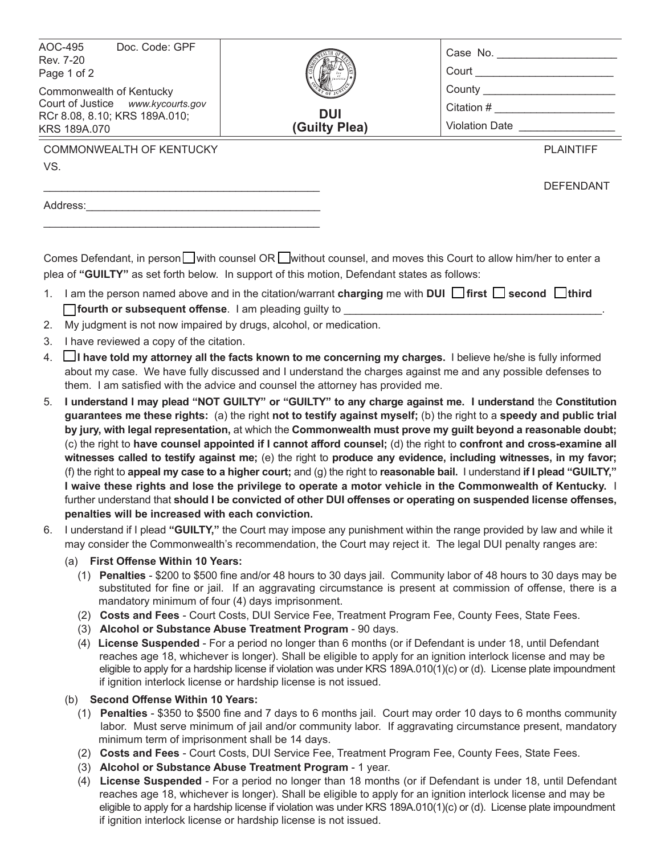| AOC-495<br>Doc. Code: GPF<br>Rev. 7-20<br>Page 1 of 2<br>Commonwealth of Kentucky<br>Court of Justice www.kycourts.gov<br>RCr 8.08, 8.10; KRS 189A.010;<br>KRS 189A.070 | <b>DUI</b><br>(Guilty Plea) | Case No.<br>Court<br>County<br>Citation #<br><b>Violation Date</b> |                  |
|-------------------------------------------------------------------------------------------------------------------------------------------------------------------------|-----------------------------|--------------------------------------------------------------------|------------------|
| <b>COMMONWEALTH OF KENTUCKY</b>                                                                                                                                         |                             |                                                                    | <b>PLAINTIFF</b> |
| VS.                                                                                                                                                                     |                             |                                                                    | <b>DEFENDANT</b> |

Comes Defendant, in person  $\Box$  with counsel OR  $\Box$  without counsel, and moves this Court to allow him/her to enter a plea of **"GUILTY"** as set forth below. In support of this motion, Defendant states as follows:

- 1. I am the person named above and in the citation/warrant **charging** me with **DUI**  $\Box$  **first**  $\Box$  **second**  $\Box$  **third fourth or subsequent offense.** I am pleading guilty to
- 2. My judgment is not now impaired by drugs, alcohol, or medication.

\_\_\_\_\_\_\_\_\_\_\_\_\_\_\_\_\_\_\_\_\_\_\_\_\_\_\_\_\_\_\_\_\_\_\_\_\_\_\_\_\_\_\_\_\_\_

3. I have reviewed a copy of the citation.

Address:

- 4. **I have told my attorney all the facts known to me concerning my charges.** I believe he/she is fully informed about my case. We have fully discussed and I understand the charges against me and any possible defenses to them. I am satisfied with the advice and counsel the attorney has provided me.
- 5. **I understand I may plead "NOT GUILTY" or "GUILTY" to any charge against me. I understand** the **Constitution guarantees me these rights:** (a) the right **not to testify against myself;** (b) the right to a **speedy and public trial by jury, with legal representation,** at which the **Commonwealth must prove my guilt beyond a reasonable doubt;** (c) the right to **have counsel appointed if I cannot afford counsel;** (d) the right to **confront and cross-examine all witnesses called to testify against me;** (e) the right to **produce any evidence, including witnesses, in my favor;** (f) the right to **appeal my case to a higher court;** and (g) the right to **reasonable bail.** I understand **if I plead "GUILTY," I waive these rights and lose the privilege to operate a motor vehicle in the Commonwealth of Kentucky.** I further understand that **should I be convicted of other DUI offenses or operating on suspended license offenses, penalties will be increased with each conviction.**
- 6. I understand if I plead **"GUILTY,"** the Court may impose any punishment within the range provided by law and while it may consider the Commonwealth's recommendation, the Court may reject it. The legal DUI penalty ranges are:
	- (a) **First Off ense Within 10 Years:**
		- (1) **Penalties** \$200 to \$500 fi ne and/or 48 hours to 30 days jail. Community labor of 48 hours to 30 days may be substituted for fine or jail. If an aggravating circumstance is present at commission of offense, there is a mandatory minimum of four (4) days imprisonment.
		- (2) **Costs and Fees** Court Costs, DUI Service Fee, Treatment Program Fee, County Fees, State Fees.
		- (3) **Alcohol or Substance Abuse Treatment Program** 90 days.
		- (4) **License Suspended** For a period no longer than 6 months (or if Defendant is under 18, until Defendant reaches age 18, whichever is longer). Shall be eligible to apply for an ignition interlock license and may be eligible to apply for a hardship license if violation was under KRS 189A.010(1)(c) or (d). License plate impoundment if ignition interlock license or hardship license is not issued.
	- (b) **Second Off ense Within 10 Years:**
		- (1) **Penalties** \$350 to \$500 fine and 7 days to 6 months jail. Court may order 10 days to 6 months community labor. Must serve minimum of jail and/or community labor. If aggravating circumstance present, mandatory minimum term of imprisonment shall be 14 days.
		- (2) **Costs and Fees** Court Costs, DUI Service Fee, Treatment Program Fee, County Fees, State Fees.
		- (3) **Alcohol or Substance Abuse Treatment Program** 1 year.
		- (4) **License Suspended** For a period no longer than 18 months (or if Defendant is under 18, until Defendant reaches age 18, whichever is longer). Shall be eligible to apply for an ignition interlock license and may be eligible to apply for a hardship license if violation was under KRS 189A.010(1)(c) or (d). License plate impoundment if ignition interlock license or hardship license is not issued.